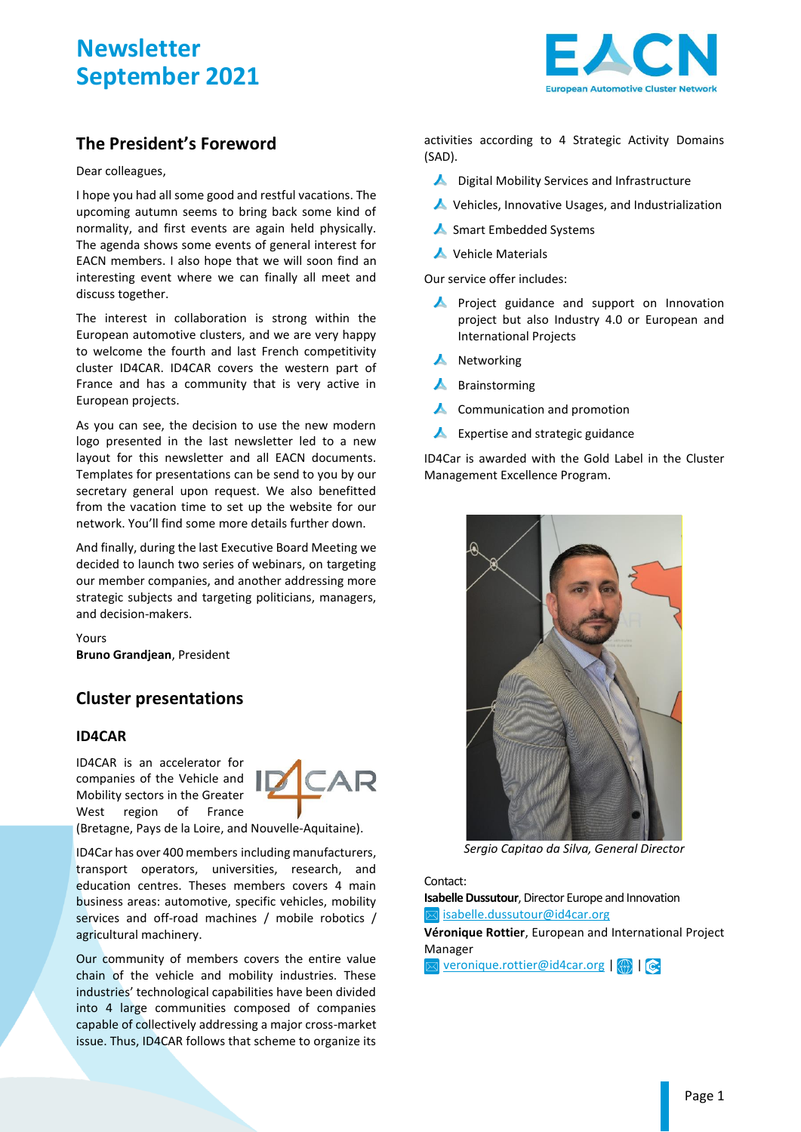

## **The President's Foreword**

Dear colleagues,

I hope you had all some good and restful vacations. The upcoming autumn seems to bring back some kind of normality, and first events are again held physically. The agenda shows some events of general interest for EACN members. I also hope that we will soon find an interesting event where we can finally all meet and discuss together.

The interest in collaboration is strong within the European automotive clusters, and we are very happy to welcome the fourth and last French competitivity cluster ID4CAR. ID4CAR covers the western part of France and has a community that is very active in European projects.

As you can see, the decision to use the new modern logo presented in the last newsletter led to a new layout for this newsletter and all EACN documents. Templates for presentations can be send to you by our secretary general upon request. We also benefitted from the vacation time to set up the website for our network. You'll find some more details further down.

And finally, during the last Executive Board Meeting we decided to launch two series of webinars, on targeting our member companies, and another addressing more strategic subjects and targeting politicians, managers, and decision-makers.

Yours **Bruno Grandjean**, President

## **Cluster presentations**

### **ID4CAR**

ID4CAR is an accelerator for companies of the Vehicle and Mobility sectors in the Greater West region of France



(Bretagne, Pays de la Loire, and Nouvelle-Aquitaine).

ID4Car has over 400 members including manufacturers, transport operators, universities, research, and education centres. Theses members covers 4 main business areas: automotive, specific vehicles, mobility services and off-road machines / mobile robotics / agricultural machinery.

Our community of members covers the entire value chain of the vehicle and mobility industries. These industries' technological capabilities have been divided into 4 large communities composed of companies capable of collectively addressing a major cross-market issue. Thus, ID4CAR follows that scheme to organize its

activities according to 4 Strategic Activity Domains (SAD).

- ▲ Digital Mobility Services and Infrastructure
- Vehicles, Innovative Usages, and Industrialization
- Smart Embedded Systems
- ▲ Vehicle Materials

Our service offer includes:

- **A** Project guidance and support on Innovation project but also Industry 4.0 or European and International Projects
- $\blacktriangle$  Networking
- Brainstorming
- **A** Communication and promotion
- $\blacktriangle$ Expertise and strategic guidance

ID4Car is awarded with the Gold Label in the Cluster Management Excellence Program.



*Sergio Capitao da Silva, General Director*

Contact:

**Isabelle Dussutour**, Director Europe and Innovation  $\boxtimes$  [isabelle.dussutour@id4car.org](mailto:isabelle.dussutour@id4car.org)

**Véronique Rottier**, European and International Project Manager

 $\boxtimes$  [veronique.rottier@id4car.org](mailto:veronique.rottier@id4car.org) $\boxtimes$  |  $\odot$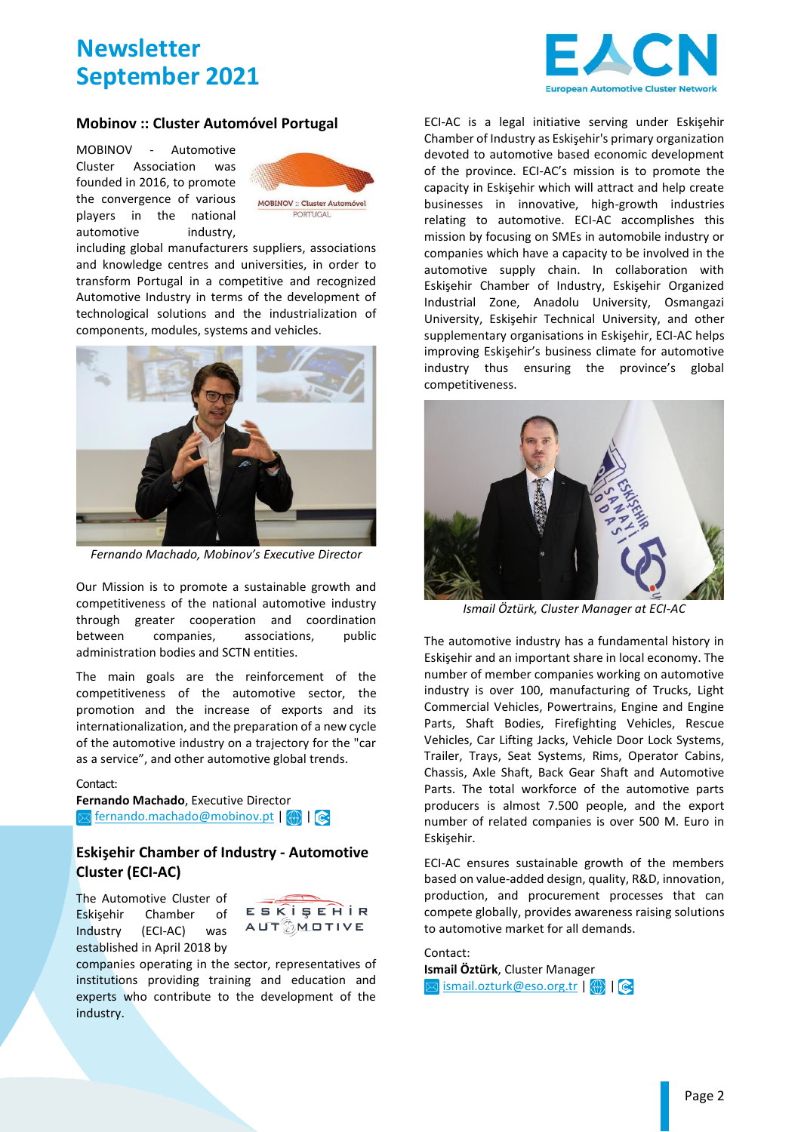

#### **Mobinov :: Cluster Automóvel Portugal**

MOBINOV - Automotive Cluster Association was founded in 2016, to promote the convergence of various players in the national automotive industry,



including global manufacturers suppliers, associations and knowledge centres and universities, in order to transform Portugal in a competitive and recognized Automotive Industry in terms of the development of technological solutions and the industrialization of components, modules, systems and vehicles.



*Fernando Machado, Mobinov's Executive Director*

Our Mission is to promote a sustainable growth and competitiveness of the national automotive industry through greater cooperation and coordination between companies, associations, public administration bodies and SCTN entities.

The main goals are the reinforcement of the competitiveness of the automotive sector, the promotion and the increase of exports and its internationalization, and the preparation of a new cycle of the automotive industry on a trajectory for the "car as a service", and other automotive global trends.

#### Contact:

**Fernando Machado**, Executive Director  $\boxtimes$  [fernando.machado@mobinov.pt](mailto:fernando.machado@mobinov.pt)|  $\textcircled{\tiny{A}}$  |  $\textcircled{\tiny{B}}$ 

### **Eskişehir Chamber of Industry - Automotive Cluster (ECI-AC)**

The Automotive Cluster of Eskişehir Chamber of Industry (ECI-AC) was established in April 2018 by



companies operating in the sector, representatives of institutions providing training and education and experts who contribute to the development of the industry.

ECI-AC is a legal initiative serving under Eskişehir Chamber of Industry as Eskişehir's primary organization devoted to automotive based economic development of the province. ECI-AC's mission is to promote the capacity in Eskişehir which will attract and help create businesses in innovative, high-growth industries relating to automotive. ECI-AC accomplishes this mission by focusing on SMEs in automobile industry or companies which have a capacity to be involved in the automotive supply chain. In collaboration with Eskişehir Chamber of Industry, Eskişehir Organized Industrial Zone, Anadolu University, Osmangazi University, Eskişehir Technical University, and other supplementary organisations in Eskişehir, ECI-AC helps improving Eskişehir's business climate for automotive industry thus ensuring the province's global competitiveness.



*Ismail Öztürk, Cluster Manager at ECI-AC*

The automotive industry has a fundamental history in Eskişehir and an important share in local economy. The number of member companies working on automotive industry is over 100, manufacturing of Trucks, Light Commercial Vehicles, Powertrains, Engine and Engine Parts, Shaft Bodies, Firefighting Vehicles, Rescue Vehicles, Car Lifting Jacks, Vehicle Door Lock Systems, Trailer, Trays, Seat Systems, Rims, Operator Cabins, Chassis, Axle Shaft, Back Gear Shaft and Automotive Parts. The total workforce of the automotive parts producers is almost 7.500 people, and the export number of related companies is over 500 M. Euro in Eskişehir.

ECI-AC ensures sustainable growth of the members based on value-added design, quality, R&D, innovation, production, and procurement processes that can compete globally, provides awareness raising solutions to automotive market for all demands.

Contact: **Ismail Öztürk**, Cluster Manager  $\boxtimes$  [ismail.ozturk@eso.org.tr](mailto:ismail.ozturk@eso.org.tr) |  $\textcircled{\tiny\textsf{m}}$  |  $\textcircled{\tiny\textsf{m}}$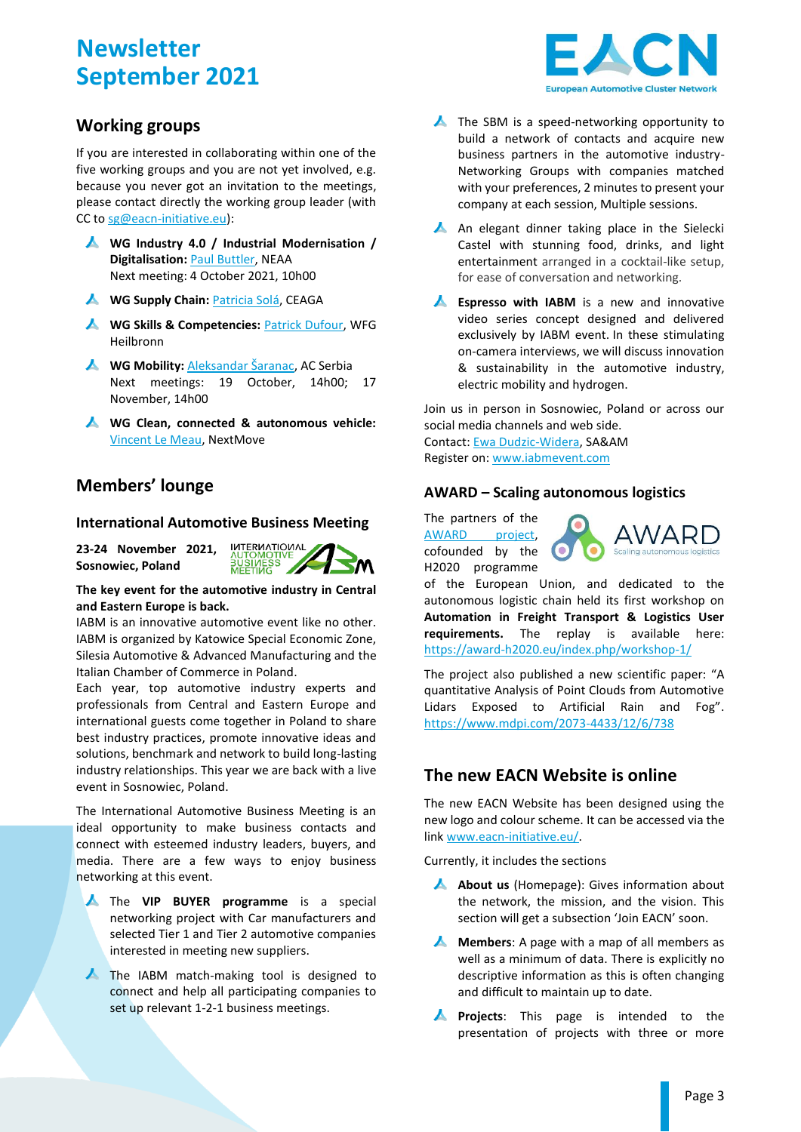## **Working groups**

If you are interested in collaborating within one of the five working groups and you are not yet involved, e.g. because you never got an invitation to the meetings, please contact directly the working group leader (with CC t[o sg@eacn-initiative.eu\)](mailto:sg@eacn-initiative.eu):

- **WG Industry 4.0 / Industrial Modernisation / Digitalisation:** [Paul Buttler,](mailto:pbutler@northeastautomotivealliance.com;%20sg@eacn-initiative.eu?subject=[EACN%20WG%20Industry%204.0]%20) NEAA Next meeting: 4 October 2021, 10h00
- **A** WG Supply Chain: [Patricia Solá,](mailto:patricia.sola@ceaga.com;%20sg@eacn-initiative.eu?subject=[EACN%20WG%20Supply%20Chain]%20) CEAGA
- **A** WG Skills & Competencies: **Patrick Dufour**, WFG Heilbronn
- **A** WG Mobility: [Aleksandar Šaranac](mailto:aleksandar.saranac@acserbia.org.rs;%20sg@eacn-initiative.eu?subject=[EACN%20WG%20Mobility]%20), AC Serbia Next meetings: 19 October, 14h00; 17 November, 14h00
- **WG Clean, connected & autonomous vehicle:**  [Vincent Le Meau,](mailto:vincent.le-meau@nextmove.fr;%20sg@eacn-initiative.eu?subject=[EACN%20WG%20CCAV]%20) NextMove

## **Members' lounge**

### **International Automotive Business Meeting**

**23-24 November 2021, Sosnowiec, Poland**



**The key event for the automotive industry in Central and Eastern Europe is back.**

IABM is an innovative automotive event like no other. IABM is organized by Katowice Special Economic Zone, Silesia Automotive & Advanced Manufacturing and the Italian Chamber of Commerce in Poland.

Each year, top automotive industry experts and professionals from Central and Eastern Europe and international guests come together in Poland to share best industry practices, promote innovative ideas and solutions, benchmark and network to build long-lasting industry relationships. This year we are back with a live event in Sosnowiec, Poland.

The International Automotive Business Meeting is an ideal opportunity to make business contacts and connect with esteemed industry leaders, buyers, and media. There are a few ways to enjoy business networking at this event.

- The **VIP BUYER programme** is a special networking project with Car manufacturers and selected Tier 1 and Tier 2 automotive companies interested in meeting new suppliers.
- The IABM match-making tool is designed to connect and help all participating companies to set up relevant 1-2-1 business meetings.



- $\blacktriangle$  The SBM is a speed-networking opportunity to build a network of contacts and acquire new business partners in the automotive industry-Networking Groups with companies matched with your preferences, 2 minutes to present your company at each session, Multiple sessions.
- A An elegant dinner taking place in the Sielecki Castel with stunning food, drinks, and light entertainment arranged in a cocktail-like setup, for ease of conversation and networking.
- **A** Espresso with IABM is a new and innovative video series concept designed and delivered exclusively by IABM event. In these stimulating on-camera interviews, we will discuss innovation & sustainability in the automotive industry, electric mobility and hydrogen.

Join us in person in Sosnowiec, Poland or across our social media channels and web side. Contact: [Ewa Dudzic-Widera,](mailto:edudzic@silesia-automotive.pl) SA&AM Register on: [www.iabmevent.com](http://www.iabmevent.com/)

### **AWARD – Scaling autonomous logistics**

The partners of the [AWARD project,](https://award-h2020.eu/) cofounded by the H2020 programme



of the European Union, and dedicated to the autonomous logistic chain held its first workshop on **Automation in Freight Transport & Logistics User requirements.** The replay is available here: <https://award-h2020.eu/index.php/workshop-1/>

The project also published a new scientific paper: "A quantitative Analysis of Point Clouds from Automotive Lidars Exposed to Artificial Rain and Fog". <https://www.mdpi.com/2073-4433/12/6/738>

# **The new EACN Website is online**

The new EACN Website has been designed using the new logo and colour scheme. It can be accessed via the link [www.eacn-initiative.eu/.](http://www.eacn-initiative.eu/) 

Currently, it includes the sections

- A **About us** (Homepage): Gives information about the network, the mission, and the vision. This section will get a subsection 'Join EACN' soon.
- **A** Members: A page with a map of all members as well as a minimum of data. There is explicitly no descriptive information as this is often changing and difficult to maintain up to date.
- $\blacktriangle$ **Projects**: This page is intended to the presentation of projects with three or more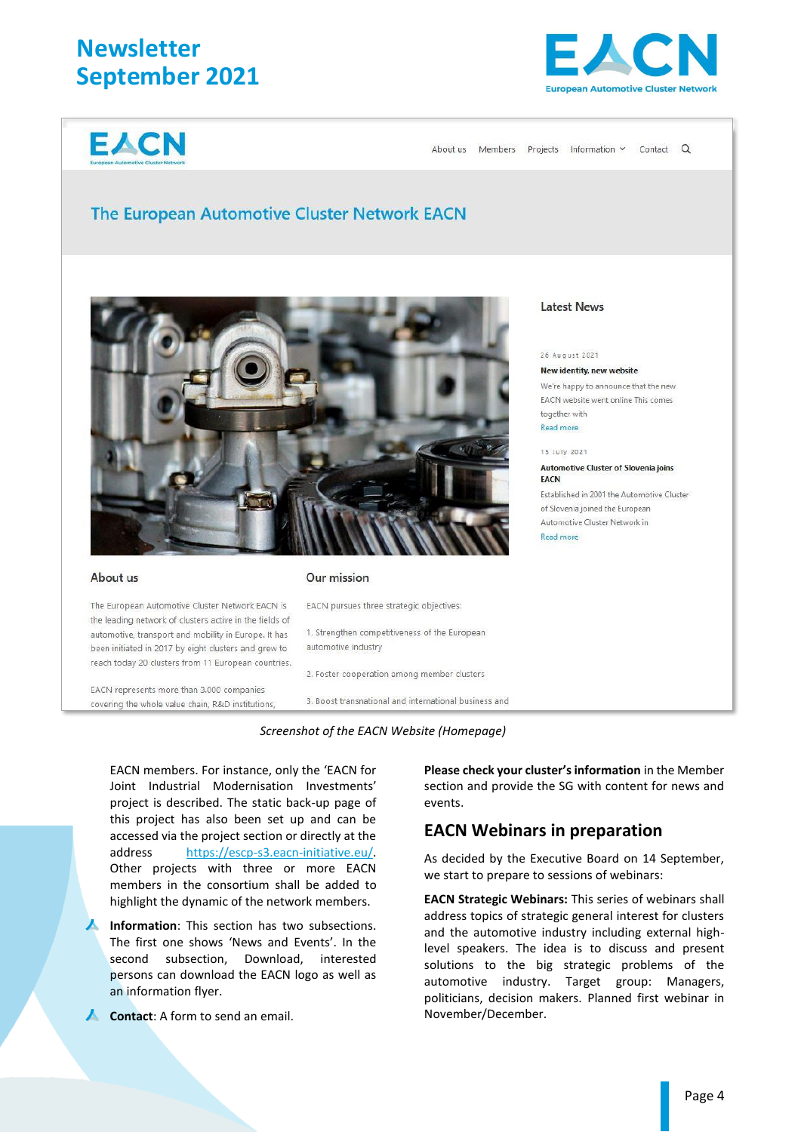**EACN** 



About us Members Projects Information Y Contact Q

### **The European Automotive Cluster Network EACN**



#### About us

The European Automotive Cluster Network EACN is

the leading network of clusters active in the fields of

automotive, transport and mobility in Europe. It has

been initiated in 2017 by eight clusters and grew to reach today 20 clusters from 11 European countries.

EACN represents more than 3.000 companies

covering the whole value chain. R&D institutions.

#### Our mission

EACN pursues three strategic objectives:

1. Strengthen competitiveness of the European automotive industry

2. Foster cooperation among member clusters

3. Boost transnational and international business and



EACN members. For instance, only the 'EACN for Joint Industrial Modernisation Investments' project is described. The static back-up page of this project has also been set up and can be accessed via the project section or directly at the address [https://escp-s3.eacn-initiative.eu/.](https://escp-s3.eacn-initiative.eu/)  Other projects with three or more EACN members in the consortium shall be added to highlight the dynamic of the network members.

**Information**: This section has two subsections. The first one shows 'News and Events'. In the second subsection, Download, interested persons can download the EACN logo as well as an information flyer.

**Contact:** A form to send an email.

**Please check your cluster's information** in the Member section and provide the SG with content for news and events.

### **EACN Webinars in preparation**

As decided by the Executive Board on 14 September, we start to prepare to sessions of webinars:

**EACN Strategic Webinars:** This series of webinars shall address topics of strategic general interest for clusters and the automotive industry including external highlevel speakers. The idea is to discuss and present solutions to the big strategic problems of the automotive industry. Target group: Managers, politicians, decision makers. Planned first webinar in November/December.

### **Latest News**

#### 26 August 2021

New identity, new website We're happy to announce that the new EACN website went online This comes together with Read more 15 July 2021

### Automotive Cluster of Slovenia joins

EACN Established in 2001 the Automotive Cluster of Slovenia joined the European Automotive Cluster Network in Read more